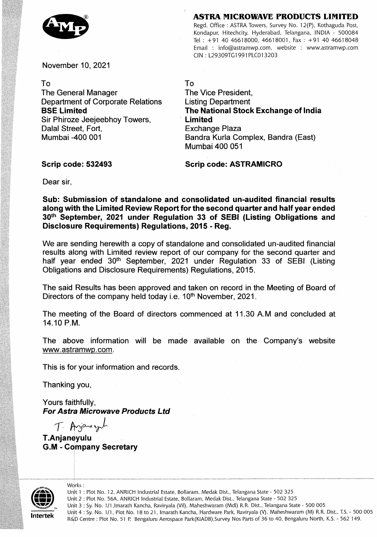## **ASTRA MICROWAVE PRODUCTS LIMITED**



Regd. Office: ASTRA Towers, Survey No. 12(P), Kothaguda Post, Kondapur, Hitechcity, Hyderabad, Telangana, INDIA - 500084 Tel : +91 40 46618000, 46618001, Fax : +91 40 46618048 Email : info@astramwp.com, website : www.astramwp.com CIN: L29309TG1991PLC013203

November 10, 2021

## To

The General Manager Department of Corporate Relations **BSE Limited**  Sir Phiroze Jeejeebhoy Towers, Dalal Street, Fort, Mumbai -400 001

To

The Vice President, Listing Department **The National Stock Exchange of India Limited**  Exchange Plaza Bandra Kuria Complex, Bandra (East) Mumbai 400 051

**Scrip code: 532493** 

**Scrip code: ASTRAMICRO** 

Dear sir,

**Sub: Submission of standalone and consolidated un-audited financial results along with the Limited Review Reportfor the second quarter and half year ended 30th September, 2021 under Regulation 33 of SEBI (Listing Obligations and Disclosure Requirements) Regulations, 2015** - **Reg.** 

We are sending herewith a copy of standalone and consolidated un-audited financial results along with Limited review report of our company for the second quarter and half year ended 30<sup>th</sup> September, 2021 under Regulation 33 of SEBI (Listing Obligations and Disclosure Requirements) Regulations, 2015.

The said Results has been approved and taken on record in the Meeting of Board of Directors of the company held today i.e. 10<sup>th</sup> November, 2021.

The meeting of the Board of directors commenced at 11.30 A.M and concluded at 14.10 P.M.

The above information will be made available on the Company's website www.astramwp.com .

This is for your information and records.

Thanking you,

Yours faithfully, **For Astra Microwave Products Ltd** 

**T** 

Works:

**T.Anjaneyulu**  GA - **Company Secretary** 



Unit 1: Plot No. 12, ANRICH Industrial Estate, Boilaram, Medak Dist., Telangana State - 502 325 Unit 2 : Plot No. 56A, ANRICH Industrial Estate, Bollaram, Medak Dist., Telangana State - 502 325 Unit 3 : Sy. No. 1/1 ,imarath Kancha, Raviryala (Vii), Maheshwaram (Mdl) R.R. Dist., Teiangana State - 500 005 Unit 4: Sy. No. 1/1, Plot No. 18 to 21, Imarath Kancha, Hardware Park, Raviryala (V), Maheshwaram (M) R.R. Dist., T.S. - 500 005 R&D Centre: Plot No. 51 P. Bengaluru Aerospace Park(KIADB),Survey Nos Parts of 36 to 40, Bengaluru North, K.S. - 562 149.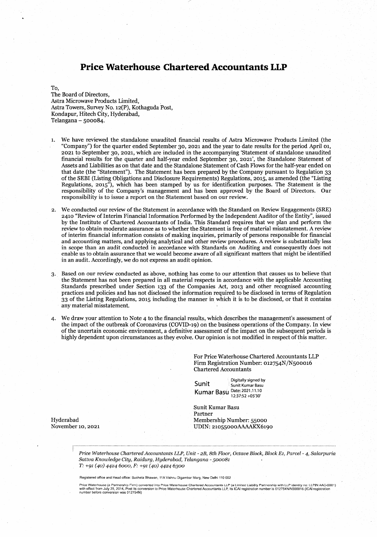# **Price Waterhouse Chartered Accountants LLP**

To,

The Board of Directors, Astra Microwave Products Limited, Astra Towers, Survey No. 12(P), Kothaguda Post, Kondapur, Hitech City, Hyderabad, Telangana - 500084.

- 1. We have reviewed the standalone unaudited financial results of Astra Microwave Products Limited (the "Company") for the quarter ended September 30, 2021 and the year to date results for the period April 01, 2021 to September 30 2021 which are included in the accompanying Statement of standalone unaudited financial results for the quarter and half-year ended September 30, 2021', the Standalone Statement of Assets and Liabilities as on that date and the Standalone Statement of Cash Flows for the half-year ended on that date (the "Statement"). The Statement has been prepared by the Company pursuant to Regulation 33 of the SEBI (Listing Obligations and Disclosure Requirements) Regulations, 2015, as amended (the "Listing Regulations, 2015"), which has been stamped by us for identification purposes. The Statement is the responsibility of the Company's management and has been approved by the Board of Directors Our responsibility is to issue a report on the Statement based on our review.
- 2. We conducted our review of the Statement in accordance with the Standard on Review Engagements (SRE) 2410 "Review of Interim Financial Information Performed by the Independent Auditor of the Entity", issued by the Institute of Chartered Accountants of India. This Standard requires that we plan and perform the review to obtain moderate assurance as to whether the Statement is free of material misstatement. A review of interim financial information consists of making inquiries, primarily of persons responsible for financial and accounting matters, and applying analytical and other review procedures. A review is substantially less in scope than an audit conducted in accordance with Standards on Auditing and consequently does not enable us to obtain assurance that we would become aware of all significant matters that might be identified in an audit. Accordingly, we do not express an audit opinion.
- 3. Based on our review conducted as above, nothing has come to our attention that causes us to believe that the Statement has not been prepared in all material respects in accordance with the applicable Accounting Standards prescribed under Section 133 of the Companies Act, 2013 and other recognised accounting practices and policies and has not disclosed the information required to be disclosed in terms of Regulation 33 of the Listing Regulations 2015 including the manner in which it is to be disclosed or that it contains any material misstatement.
- We draw your attention to Note 4 to the financial results, which describes the management's assessment of the impact of the outbreak of Coronavirus (COVID-19) on the business operations of the Company. In view of the uncertain economic environment a definitive assessment of the impact on the subsequent periods is highly dependent upon circumstances as they evolve. Our opinion is not modified in respect of this matter.

For Price Waterhouse Chartered Accountants LLP Firm Registration Number: 012754N/N500016 Chartered Accountants

S Digitally signed by unit Sunit Kumar Basu **Kumar Basu**  123752+0530

Sunit Kumar Basu Partner Hyderabad Membership Number: 55000<br>November 10, 2021 Membership Number: 55000<br>UDIN: 21055000AAAAKX610 UDIN: 21055000AAAAKX6190

*Price Waterhouse Chartered Accountants LLP, Unit* - *2B, 8th Floor, Octave Block, Block El, Parcel - 4, Salarpuria*  Sattva Knowledge City, Raidurg, Hyderabad, Telangana - 500081 *T: +91 (40) 4424* ó000, *F: +91 (40) 4424 6300* 

Registered office and Head office: Sucheta Bhawan, 11A Vishnu Digambar Marg, New Delhi 110 002

Price Waterhouse (a Partnership Firm) converted into Price Waterhouse Chartered Accountants LLP (a Limited Liability Partnership with LLP identity no: LLPIN AAC-5001)<br>with effect from July 25, 2014, Post its conversion to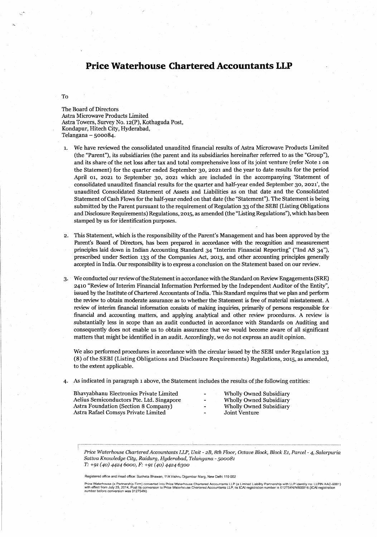# **Price Waterhouse Chartered Accountants LLP**

To

The Board of Directors Astra Microwave Products Limited Astra Towers, Survey No. 12(P), Kothaguda Post, Kondapur, Hitech City, Hyderabad, Telangana - 500084.

- 1. We have reviewed the consolidated unaudited financial results of Astra Microwave Products Limited (the "Parent"), its subsidiaries (the parent and its subsidiaries hereinafter referred to as the "Group"), and its share of the net loss after tax and total comprehensive loss of its joint venture (refer Note 1 on the Statement) for the quarter ended September 30, 2021 and the year to date results for the period April 01, 2021 to September 30, 2021 which are included in the accompanying 'Statement of consolidated unaudited financial results for the quarter and half-year ended September 30, 2021', the unaudited Consolidated Statement of Assets and Liabilities as on that date and the Consolidated Statement of Cash Flows for the half-year ended on that date (the "Statement"). The Statement is being submitted by the Parent pursuant to the requirement of Regulation 33 of the SEBI (Listing Obligations and Disclosure Requirements) Regulations, 2015, as amended (the "Listing Regulations"), which has been stamped by us for identification purposes.
- 2. This Statement, which is the responsibility of the Parent's Management and has been approved by the Parent's Board of Directors, has been prepared in accordance with the recognition and measurement principles laid down in Indian Accounting Standard 34 "Interim Financial Reporting" ("Ind AS 34"), prescribed under Section 133 of the Companies Act, 2013, and other accounting principles generally accepted in India. Our responsibility is to express a conclusion on the Statement based on our review.
- 3. We conducted our review of the Statement in accordance with the Standard on Review Engagements (SRE) 2410 "Review of Interim Financial Information Performed by the Independent Auditor of the Entity", issued by the Institute of Chartered Accountants of India. This Standard requires that we plan and perform the review to obtain moderate assurance as to whether the Statement is free of material misstatement. A review of interim financial information consists of making inquiries, primarily of persons responsible for financial and accounting mailers, and applying analytical and other review procedures. A review is substantially less in scope than an audit conducted in accordance with Standards on Auditing and consequently does not enable us to obtain assurance that we would become aware of all significant matters that might be identified in an audit. Accordingly, we do not express an audit opinion.

We also performed procedures in accordance with the circular issued by the SEBI under Regulation 33 (8) of the SEBI (Listing Obligations and Disclosure Requirements) Regulations, 2015, as amended, to the extent applicable.

4. As indicated in paragraph 1 above, the Statement includes the results of the following entities:

Bhavyabhanu Electronics Private Limited - Wholly Owned Subsidiary<br>
Aelius Semiconductors Pte. Ltd. Singapore - Wholly Owned Subsidiary Aelius Semiconductors Pte. Ltd. Singapore - Wholly Owned Subsidiary Astra Foundation (Section 8 Company) - Wholly Owned Subsidiary Astra Rafael Comsys Private Limited

*Price Waterhouse Chartered Accountants LLP, Unit* - *2B, 8th Floor, Octave Block, Block El, Parcel - 4, Salarpuria Sattva Knowledge City, Raidurg, Hyderabad, Telangana -500081 T: +91 (40) 4424 6000, F. +91 (40) 4424 6300* 

Registered office and Head office: Sucheta Bhawan, 11A Vishnu Digambar Marg, New Delhi 110 002

Price Waterhouse (a Partnership Firm) converted into Price Waterhouse Chartered Accountants LLP (a Limited Liability Partnership with LLP identity no: LLPIN AAC-5001<br>with effect from July 25, 2014. Post its conversion to P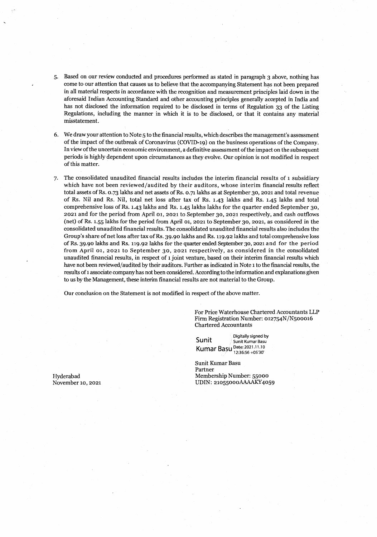- 5. Based on our review conducted and procedures performed as stated in paragraph 3 above, nothing has come to our attention that causes us to believe that the accompanying Statement has not been prepared in all material respects in accordance with the recognition and measurement principles laid down in the aforesaid Indian Accounting Standard and other accounting principles generally accepted in India and has not disclosed the information required to be disclosed in terms of Regulation 33 of the Listing Regulations, including the manner in which it is to be disclosed, or that it contains any material misstatement.
- 6. We draw your attention to Note 5 to the financial results, which describes the management's assessment of the impact of the outbreak of Coronavirus (COVID-19) on the business operations of the Company. In view of the uncertain economic environment, a definitive assessment of the impact on the subsequent periods is highly dependent upon circumstances as they evolve. Our opinion is not modified in respect of this matter.
- 7. The consolidated unaudited financial results includes the interim financial results of 1 subsidiary which have not been reviewed/audited by their auditors, whose interim financial results reflect total assets of Rs. 0.73 lakhs and net assets of Rs. o.7i lakhs as at September 30, 2021 and total revenue of Rs. Nil and Rs. Nil, total net loss after tax of Rs. 1.43 lakhs and Rs. 1.45 lakhs and total comprehensive loss of Rs. 1.43 lakhs and Rs. 1.45 lakhs lakhs for the quarter ended September 30, 2021 and for the period from April 01, 2021 to September 30, 2021 respectively, and cash outflows (net) of Rs. 1.55 lakhs for the period from April 01, 2021 to September 30, 2021, as considered in the consolidated unaudited financial results. The consolidated unaudited financial results also includes the Group's share of net loss after tax of Rs. 39.90 lakhs and Rs. 119.92 lakhs and total comprehensive loss of Rs. 39.90 lakhs and Rs. 119.92 lakhs for the quarter ended September 30, 2021 and for the period from April 01, 2021 to September 30, 2021 respectively, as considered in the consolidated unaudited financial results, in respect of 1 joint venture, based on their interim financial results which have not been reviewed/audited by their auditors. Further as indicated in Note 1 to the financial results, the results of 1 associate company has not been considered. According to the information and explanations given to us by the Management, these interim financial results are not material to the Group.

Our conclusion on the Statement is not modified in respect of the above matter.

For Price Waterhouse Chartered Accountants LLP Firm Registration Number: 012754N/N500016 Chartered Accountants

Digitally signed by Sunit Sunit Kumar Basu **Kumar Basu Date: 2021.11.10** 

Sunit Kumar Basu Partner Hyderabad Membership Number: 55000 UDIN: 21055000AAAAKY4059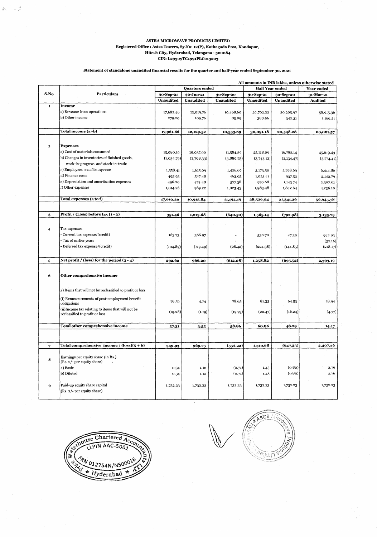#### **ASTRA MICROWAVE PRODUCTS LIMITED**  Registered Office : Astra Towers, Sy.No: 12(P), Kothaguda Post, Kondapur, **Hitech City, Hyderabad, Telangana** - **500084 CIN: L29309TG1991PLC013203**

्र<br>ज

## **Statement of standalone unaudited financial results for the quarter and half-year ended September 30, 2021**

|                |                                                              | All amounts in INR lakhs, unless otherwise stated |                  |                  |                        |                  |                   |
|----------------|--------------------------------------------------------------|---------------------------------------------------|------------------|------------------|------------------------|------------------|-------------------|
|                |                                                              | Quarters ended                                    |                  |                  | <b>Half Year ended</b> |                  | <b>Year ended</b> |
| S.No           | <b>Particulars</b>                                           | 30-Sep-21                                         | 30-Jun-21        | 30-Sep-20        | 30-Sep-21              | 30-Sep-20        | 31-Mar-21         |
|                |                                                              | <b>Unaudited</b>                                  | <b>Unaudited</b> | <b>Unaudited</b> | <b>Unaudited</b>       | <b>Unaudited</b> | <b>Audited</b>    |
| $\mathbf{t}$   | Income                                                       |                                                   |                  |                  |                        |                  |                   |
|                | a) Revenue from operations                                   | 17,682.46                                         | 12,019.76        | 10,468.60        | 29,702.22              | 20,205.97        | 58,915.36         |
|                | b) Other income                                              | 279.20                                            | 109.76           | 85.09            | 388.96                 | 342.31           | 1,166.21          |
|                |                                                              |                                                   |                  |                  |                        |                  |                   |
|                | Total income (a+b)                                           | 17,961.66                                         | 12,129.52        | 10,553.69        | 30,091.18              | 20,548.28        | 60,081.57         |
|                |                                                              |                                                   |                  |                  |                        |                  |                   |
|                |                                                              |                                                   |                  |                  |                        |                  |                   |
| 2              | <b>Expenses</b><br>a) Cost of materials consumed             |                                                   |                  |                  |                        |                  |                   |
|                | b) Changes in inventories of finished goods,                 | 15,080.19                                         | 10,037.90        | 11,584.39        | 25,118.09              | 16,783.14        | 45,619.43         |
|                | work-in-progress and stock-in-trade                          | (1,034.79)                                        | (2,708.33)       | (3,880.75)       | (3,743.12)             | (2,134.47)       | (3,774.41)        |
|                | c) Employees benefits expense                                |                                                   |                  |                  |                        |                  |                   |
|                | d) Finance costs                                             | 1,558.41                                          | 1,615.09         | 1,426.69         | 3,173.50               | 2,768.69         | 6,414.86          |
|                | e) Depreciation and amortisation expenses                    | 495-93                                            | 527.48           | 463.05           | 1,023.41               | 937.52           | 2,142.79          |
|                | f) Other expenses                                            | 496.20<br>1,014.26                                | 474.48<br>969.22 | 577.38           | 970.68<br>1,983.48     | 1,143.74         | 2,307.01          |
|                |                                                              |                                                   |                  | 1,023.43         |                        | 1,842.64         | 4,236.10          |
|                | Total expenses (a to f)                                      | 17,610.20                                         | 10,915.84        | 11,194.19        | 28,526.04              | 21,341.26        | 56,945.78         |
|                |                                                              |                                                   |                  |                  |                        |                  |                   |
|                |                                                              |                                                   |                  |                  |                        |                  |                   |
| 3              | Profit / (Loss) before tax (1 - 2)                           | 351.46                                            | 1,213.68         | (640.50)         | 1,565.14               | (792.98)         | 3,135.79          |
|                |                                                              |                                                   |                  |                  |                        |                  |                   |
| 4              | Tax expenses                                                 |                                                   |                  |                  |                        |                  |                   |
|                | Current tax expense/(credit)                                 | 163.73                                            | 366.97           |                  | 530.70                 | 47.39            | 992.93            |
|                | Tax of earlier years                                         |                                                   |                  |                  |                        |                  | (32.16)           |
|                | - Deferred tax expense/(credit)                              | (104.89)                                          | (119.49)         | (28.42)          | (224.38)               | (144.85)         | (218.17)          |
|                |                                                              |                                                   |                  |                  |                        |                  |                   |
| ${\bf 5}$      | Net profit / (loss) for the period $(3 - 4)$                 | 292.62                                            | 966.20           | (612.08)         | 1,258.82               | (695.52)         | 2,393.19          |
|                |                                                              |                                                   |                  |                  |                        |                  |                   |
|                |                                                              |                                                   |                  |                  |                        |                  |                   |
| 6              | Other comprehensive income                                   |                                                   |                  |                  |                        |                  |                   |
|                |                                                              |                                                   |                  |                  |                        |                  |                   |
|                | a) Items that will not be reclassified to profit or loss     |                                                   |                  |                  |                        |                  |                   |
|                |                                                              |                                                   |                  |                  |                        |                  |                   |
|                | (i) Remeasurements of post-employment benefit<br>obligations | 76.59                                             | 4.74             | 78.65            | 81.33                  | 64.53            | 18.94             |
|                | (ii)Income tax relating to items that will not be            |                                                   |                  |                  |                        |                  |                   |
|                | reclassified to profit or loss                               | (19.28)                                           | (1.19)           | (19.79)          | (20.47)                | (16.24)          | (4.77)            |
|                |                                                              |                                                   |                  |                  |                        |                  |                   |
|                | Total other comprehensive income                             | 57.31                                             | 3.55             | 58.86            | 60.86                  | 48.29            | 14.17             |
|                |                                                              |                                                   |                  |                  |                        |                  |                   |
|                |                                                              |                                                   |                  |                  |                        |                  |                   |
| $\overline{7}$ | Total comprehensive income / $(\text{loss})(5 + 6)$          | 349.93                                            | 969.75           | (553.22)         | 1,319.68               | (647.23)         | 2,407.36          |
|                |                                                              |                                                   |                  |                  |                        |                  |                   |
| 8              | Earnings per equity share (in Rs.)                           |                                                   |                  |                  |                        |                  |                   |
|                | (Rs. 2/- per equity share)                                   |                                                   |                  |                  |                        |                  |                   |
|                | a) Basic                                                     | 0.34                                              | 1.12             | (0.71)           | 1.45                   | (0.80)           | 2.76              |
|                | b) Diluted                                                   | 0.34                                              | 1.12             | (0.71)           | 1.45                   | (0.80)           | 2.76              |
|                |                                                              |                                                   |                  |                  |                        |                  |                   |
| 9              | Paid-up equity share capital                                 | 1,732.23                                          | 1,732.23         | 1,732.23         | 1,732.23               | 1,732.23         | 1,732.23          |
|                | (Rs. 2/- per equity share)                                   |                                                   |                  |                  |                        |                  |                   |
|                |                                                              |                                                   |                  |                  |                        |                  |                   |



*/,/'* •--: 拟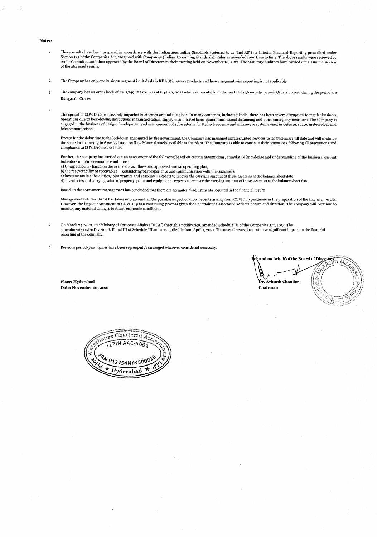#### **Notes:**

- I These results have been prepared in accordance with the Indian Accounting Standards (referred to as "Ind AS') 34 Interim Financial Reporting prescribed under Section 133 of the Companies Act, 2013 read with Companies (Indian Accounting Standards). Rules as amended from time to time. The above results were reviewed by<br>Audit Committee and then approved by the Board of Directors i of the aforesaid results.
- 2 The Company has only one business segment i.e. it deals in RF & Microwave products and hence segment wise reporting is not applicable.
- 3 The company has an order hook of Rs. 5,749.12 Crores as at Sept 30, 2021 which is executable in the next 12 to 36 months period. Orders booked during the period are Rs. 470.60 Crores.
- 4

5

The spread of COVID-19 has severely impacted businesses around the globe. In many countries, including India, there has been severe disruption to regular business operations due to lock-downs, disruptions in transportation, supply chain, travel bans, quarantines, social distancing and other emergency measures. The Company i:<br>engaged in the business of design, development and managem telecommunication.

Except for the delay due to the lockdown announced by the government, the Company has managed uninterrupted services to its Customers till date and will continue the same for the next 3 to 6 weeks based on Raw Material stocks available at the plant. The Company is able to continue their operations following all precautions and compliance to COVID19 instructions.

Further, the company has carried out an assessment of the following based on certain assumptions, cumulative knowledge and understanding of the business, current indicators of future economic conditions:

a) Going concern - based on the available cash flows and approved annual operating plan;

b) the recoverability of receivables – considering past experience and communication with the customers;

c) investments in subsidiaries, joint venture and associate - expects to recover the carrying amount of these assets as at the balance sheet date.<br>d) inventories and carrying value of property, plant and equipment - expect

Based on the assessment management has concluded that there are no material adjustments required in the financial results.

Management believes that it has taken into account all the possible impact of known events arising from COVID 19 pandemic in the preparation of the financial results. However, the impact assessment of COVID 19 is a continuing process given the uncertainties associated with its nature and duration. The company will continue to monitor any material changes to future economic conditions.

On March 24, 2021, the Ministry of Corporate Affairs ("MCA") through a notification, amended Schedule III of the Companies Act, 2013. The amendments revise Division I, II and III of Schedule Ill and are applicable from April 1, 2021. The amendments does not have significant impact on the financial reporting of the company.

6 Previous period/year figures have been regrouped /rearranged wherever considered necessary.

and on behalf of the Board of Dire<mark>ct</mark> stra Mic **Dr. Avinash Chander Chairman**   $\lesssim$ тик

**Place: Hyderabad Date: November 50, 2021** 

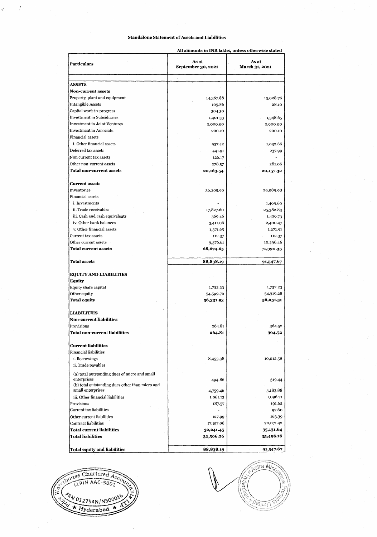### **Standalone Statement of Assets and Liabilities**

 $\frac{1}{2}$ 

 $\hat{\mathcal{K}}$ 

All **amounts in INR** lakhs, **unless otherwise stated** 

| <b>Particulars</b>                                             | As at<br>September 30, 2021 | As at<br>March 31, 2021 |  |
|----------------------------------------------------------------|-----------------------------|-------------------------|--|
|                                                                |                             |                         |  |
| <b>ASSETS</b>                                                  |                             |                         |  |
| <b>Non-current assets</b>                                      |                             |                         |  |
| Property, plant and equipment                                  | 14,367.88                   | 15,028.76               |  |
| <b>Intangible Assets</b>                                       | 105.86                      | 28.10                   |  |
| Capital work-in-progress                                       | 304.30                      |                         |  |
| Investment in Subsidiaries                                     | 1,401.33                    | 1,348.65                |  |
| <b>Investment in Joint Ventures</b>                            | 2,000.00                    | 2,000.00                |  |
| <b>Investment</b> in Associate                                 | 200.10                      | 200.10                  |  |
| <b>Financial assets</b>                                        |                             |                         |  |
| i. Other financial assets                                      | 937.42                      | 1,032.66                |  |
| Deferred tax assets                                            | 441.91                      | 237.99                  |  |
| Non current tax assets                                         | 126.17                      |                         |  |
| Other non-current assets                                       | 278.57                      | 281.06                  |  |
| <b>Total non-current assets</b>                                | 20,163.54                   | 20,157.32               |  |
| <b>Current assets</b>                                          |                             |                         |  |
| Inventories                                                    | 36,205.90                   | 29,089.98               |  |
| <b>Financial assets</b>                                        |                             |                         |  |
| i. Investments                                                 |                             | 1,409.60                |  |
| ii. Trade receivables                                          | 17,827.60                   | 25,382.83               |  |
| iii. Cash and cash equivalents                                 | 369.46                      | 1,426.73                |  |
| iv. Other bank balances                                        | 3,411.06                    | 2,400.47                |  |
| v. Other financial assets                                      | 1,371.65                    | 1,271.91                |  |
| Current tax assets                                             | 112.37                      | 112.37                  |  |
| Other current assets                                           | 9,376.61                    | 10,296.46               |  |
| Total current assets                                           | 68,674.65                   | 71,390.35               |  |
| <b>Total assets</b>                                            | 88,838.19                   | 91,547.67               |  |
| <b>EQUITY AND LIABILITIES</b><br><b>Equity</b>                 |                             |                         |  |
| Equity share capital                                           | 1,732.23                    | 1,732.23                |  |
| Other equity                                                   | 54,599.70                   | 54,319.28               |  |
| <b>Total equity</b>                                            | 56,331.93                   | 56,051.51               |  |
| <b>LIABILITIES</b>                                             |                             |                         |  |
| <b>Non-current liabilities</b>                                 |                             |                         |  |
| Provisions                                                     | 264.81                      | 364.52                  |  |
| <b>Total non-current liabilities</b>                           | 264.81                      | 364.52                  |  |
| <b>Current liabilities</b>                                     |                             |                         |  |
| <b>Financial liabilities</b>                                   |                             |                         |  |
| i. Borrowings                                                  | 8,453.38                    | 10,012.58               |  |
| ii. Trade payables                                             |                             |                         |  |
| (a) total outstanding dues of micro and small                  |                             |                         |  |
| enterprises<br>(b) total outstanding dues other than micro and | 494.86                      | 319.44                  |  |
| small enterprises                                              | 4,759.46                    | 3,183.88                |  |
| iii. Other financial liabilities                               | 1,061.13                    | 1,096.71                |  |
| Provisions                                                     | 187.57                      | 191.62                  |  |
| Current tax liabilities                                        | ۰                           | 92.60                   |  |
| Other current liabilities                                      | 127.99                      | 163.39                  |  |
| <b>Contract liabilities</b>                                    | 17,157.06                   | 20,071.42               |  |
| <b>Total current liabilities</b>                               | 32,241.45                   | 35,131.64               |  |
| <b>Total liabilities</b>                                       | 32,506.26                   | 35,496.16               |  |
| Total equity and liabilities                                   | 88,838.19                   | 91,547.67               |  |



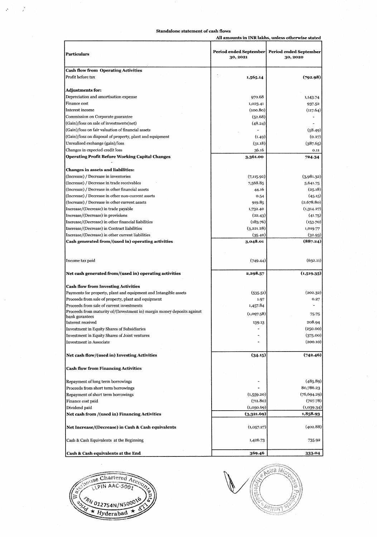### **Standalone statement of cash flows**

 $\hat{\mathcal{P}}$ 

 $\mathcal{I}$ 

|                                                                                           |             | amvums in 111X mans, umiss ounc wisc stan                   |
|-------------------------------------------------------------------------------------------|-------------|-------------------------------------------------------------|
| Particulars                                                                               | 30, 2021    | Period ended September   Period ended September<br>30, 2020 |
| <b>Cash flow from Operating Activities</b>                                                |             |                                                             |
| Profit before tax                                                                         | 1,565.14    | (792.98)                                                    |
| <b>Adjustments for:</b>                                                                   |             |                                                             |
| Depreciation and amortisation expense                                                     | 970.68      | 1,143.74                                                    |
| Finance cost                                                                              | 1,023.41    | 937.52                                                      |
| Interest income                                                                           | (100.80)    | (117.64)                                                    |
| Commission on Corporate guarantee                                                         | (52.68)     |                                                             |
| (Gain)/loss on sale of investments(net)                                                   | (48.24)     |                                                             |
| (Gain)/loss on fair valuation of financial assets                                         |             | (58.49)                                                     |
| (Gain)/loss on disposal of property, plant and equipment                                  | (1.49)      | (0.27)                                                      |
| Unrealised exchange (gain)/loss                                                           | (31.18)     | (387.65)                                                    |
| Changes in expected credit loss                                                           | 36.16       | 0.11                                                        |
| Operating Profit Before Working Capital Changes                                           | 3,361.00    | 724.34                                                      |
| <b>Changes in assets and liabilities:</b>                                                 |             |                                                             |
| (Increase) / Decrease in inventories                                                      | (7, 115.92) | (3,981.32)                                                  |
| (Increase) / Decrease in trade receivables                                                | 7,568.85    | 5,641.75                                                    |
| (Increase) / Decrease in other financial assets                                           | 44.16       | (25.18)                                                     |
| (Increase) / Decrease in other non-current assets                                         | 0.54        | (45.15)                                                     |
| (Increase) / Decrease in other current assets                                             | 919.85      | (2,678.80)                                                  |
| Increase/(Decrease) in trade payable                                                      | 1,732.40    | (1,314.27)                                                  |
| Increase/(Decrease) in provisions                                                         | (22.43)     | (41.75)                                                     |
| Increase/(Decrease) in other financial liabilities                                        | (183.76)    | (153.70)                                                    |
| Increase/(Decrease) in Contract liabilities                                               | (3,221.28)  | 1,019.77                                                    |
| Increase/(Decrease) in other current liabilities                                          | (35.40)     | (32.93)                                                     |
| Cash generated from/(used in) operating activities                                        | 3,048.01    | (887.24)                                                    |
| Income tax paid                                                                           | (749.44)    | (632.11)                                                    |
| Net cash generated from/(used in) operating activities                                    | 2,298.57    | (1,519.35)                                                  |
| <b>Cash flow from Investing Activities</b>                                                |             |                                                             |
| Payments for property, plant and equipment and Intangible assets                          | (535.51)    | (202.32)                                                    |
| Proceeds from sale of property, plant and equipment                                       | 1.97        | 0.27                                                        |
| Proceeds from sale of current investments                                                 | 1,457.84    |                                                             |
| Proceeds from maturity of/(Investment in) margin money deposits against<br>bank gurantees | (1,097.58)  | 75.75                                                       |
| Interest received                                                                         | 139.13      | 208.94                                                      |
| Investment in Equity Shares of Subsidiaries                                               |             | (250.00)                                                    |
| Investment in Equity Shares of Joint ventures                                             |             | (375.00)                                                    |
| <b>Investment in Associate</b>                                                            |             | (200.10)                                                    |
| Net cash flow/(used in) Investing Activities                                              | (34.15)     | (742.46)                                                    |
| <b>Cash flow from Financing Activities</b>                                                |             |                                                             |
| Repayment of long term borrowings                                                         |             | (485.89)                                                    |
| Proceeds from short term borrowings                                                       |             | 80,786.23                                                   |
| Repayment of short term borrowings                                                        | (1,559.20)  | (76, 694.29)                                                |
| Finance cost paid                                                                         | (711.80)    | (707.78)                                                    |
| Dividend paid                                                                             | (1,050.69)  | (1,039.34)                                                  |
| Net cash from /(used in) Financing Activities                                             | (3,321.69)  | 1,858.93                                                    |
| Net Increase/(Decrease) in Cash & Cash equivalents                                        | (1,057.27)  | (402.88)                                                    |
| Cash & Cash Equivalents at the Beginning                                                  | 1,426.73    | 735.92                                                      |
| Cash & Cash equivalents at the End                                                        | 369.46      | 333.04                                                      |



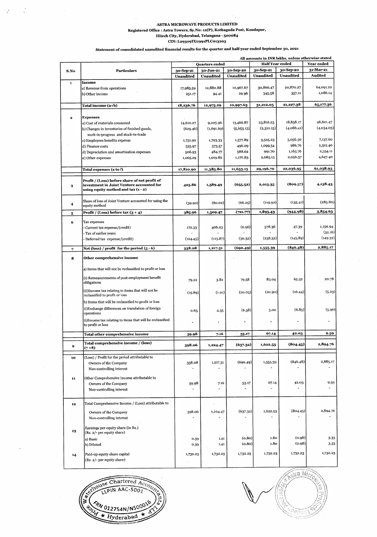## **ASTRA MICROWAVE PRODUCTS LIMITED**

 $\mathcal{C}_j$ 

Registered Office : Astra Towers, Sy.No: 12(P), Kothaguda Post, Kondapur,

**Hitech City, Hyderabad, Telangana 500084 CIN: L29309TG1991PLC013203** 

**Statement of consolidated unaudited financial results for the quarter and half-year ended September 30, 2021** 

|             |                                                                                            | All amounts in INR lakhs, unless otherwise stated |                       |            |                        |                          |                     |
|-------------|--------------------------------------------------------------------------------------------|---------------------------------------------------|-----------------------|------------|------------------------|--------------------------|---------------------|
|             |                                                                                            |                                                   | <b>Ouarters</b> ended |            | <b>Half Year ended</b> |                          | Year ended          |
| S.No        | <b>Particulars</b>                                                                         | 30-Sep-21                                         | 30-Jun-21             | 30-Sep-20  | 30-Sep-21              | 30-Sep-20                | 31-Mar-21           |
|             |                                                                                            | Unaudited                                         | <b>Unaudited</b>      | Unaudited  | Unaudited              | <b>Unaudited</b>         | Audited             |
| $\mathbf 1$ | Income                                                                                     |                                                   |                       |            |                        |                          |                     |
|             | a) Revenue from operations                                                                 | 17,985.59                                         | 12,880.88             | 10,967.67  | 30,866.47              | 20,870.27                | 64,091.22           |
|             | b) Other income                                                                            | 251.17                                            | 94.41                 | 29.96      | 345.58                 | 357.11                   | 1,086.14            |
|             |                                                                                            |                                                   |                       | 10,997.63  | 31,212.05              | 21,227.38                | 65,177.36           |
|             | Total income (a+b)                                                                         | 18,236.76                                         | 12,975.29             |            |                        |                          |                     |
| 2           | <b>Expenses</b>                                                                            |                                                   |                       |            |                        |                          |                     |
|             | a) Cost of materials consumed                                                              | 14,610.27                                         | 9,205.96              | 13,466.87  | 23,816.23              | 18,858.17                | 48,621.47           |
|             | b) Changes in inventories of finished goods,                                               | (629.46)                                          | (1,691.69)            | (5,653.15) | (2,321.15)             | (4,086.41)               | (4,034.05)          |
|             | work-in-progress and stock-in-trade                                                        |                                                   |                       |            |                        |                          |                     |
|             | c) Employees benefits expense                                                              | 1,731.90                                          | 1,793-33              | 1,577.89   | 3,525.23               | 3,056.30                 | 7,137.60            |
|             | d) Finance costs                                                                           | 525.97                                            | 573 57                | 496.09     | 1,099.54               | 986.76                   | 2,312.40            |
|             | d) Depreciation and amortisation expenses                                                  | 506.93                                            | 484.77                | 588.62     | 991.70                 | 1,165.76                 | 2,354.11            |
|             | e) Other expenses                                                                          | 1,065.29                                          | 1,019.86              | 1,176.83   | 2,085.15               | 2,056.37                 | 4,647.40            |
|             |                                                                                            |                                                   |                       |            |                        |                          |                     |
|             | Total expenses (a to f)                                                                    | 17,810.90                                         | 11,385.80             | 11,653.15  | 29,196.70              | 22,036.95                | 61,038.93           |
| 3           | Profit / (Loss) before share of net profit of<br>investment in Joint Venture accounted for | 425.86                                            | 1,589.49              | (655.52)   | 2,015-35               | (809.57)                 | 4,138.43            |
|             | using equity method and tax (1 - 2)                                                        |                                                   |                       |            |                        |                          |                     |
|             |                                                                                            |                                                   |                       |            |                        |                          |                     |
| 4           | Share of loss of Joint Venture accounted for using the<br>equity method                    | (39.90)                                           | (80.02)               | (66.25)    | (119.92)               | (135.41)                 | (283.80)            |
|             | Profit / (Loss) before tax $(3 + 4)$                                                       | 385.96                                            | 1,509.47              | (721.77)   | 1,895.43               | (944.98)                 | 3,854.63            |
| 5           |                                                                                            |                                                   |                       |            |                        |                          |                     |
| 6           | Tax expenses                                                                               |                                                   |                       |            |                        |                          |                     |
|             | Current tax expense/(credit)                                                               | 172.33                                            | 406.03                | (0.96)     | 578.36                 | $-47.39$                 | 1,150.94            |
|             | Tax of earlier years                                                                       |                                                   |                       |            |                        |                          | (32.16)<br>(149.32) |
|             | - Deferred tax expense/(credit)                                                            | (124.45)                                          | (113.87)              | (30.32)    | (238.32)               | (145.89)                 |                     |
| 7           | Net (loss) / profit for the period (5 - 6)                                                 | 338.08                                            | 1,217.31              | (690.49)   | 1,555-39               | (846.48)                 | 2,885.17            |
| 8           | Other comprehensive income                                                                 |                                                   |                       |            |                        |                          |                     |
|             | a) Items that will not be reclassified to profit or loss                                   |                                                   |                       |            |                        |                          |                     |
|             | (i) Remeasurements of post-employment benefit<br>obligations                               | 79.22                                             | 3.82                  | 79.58      | 83.04                  | 65.32                    | 20.78               |
|             |                                                                                            |                                                   |                       |            |                        |                          |                     |
|             | (ii)Income tax relating to items that will not be<br>reclassified to profit or loss        | (19.89)                                           | (1.01)                | (20.03)    | (20.90)                | (16.44)                  | (5.23)              |
|             | b) Items that will be reclassified to profit or loss                                       |                                                   |                       |            |                        |                          |                     |
|             | (i) Exchange differences on translation of foreign                                         |                                                   |                       |            |                        |                          |                     |
|             | operations                                                                                 | 0.65                                              | 4.35                  | (6.38)     | 5.00                   | (6.85)                   | (5.96)              |
|             | (i)Income tax relating to items that will be reclassified                                  |                                                   |                       |            |                        |                          |                     |
|             | to profit or loss                                                                          |                                                   |                       |            |                        |                          |                     |
|             | Total other comprehensive income                                                           | 59.98                                             | 7.16                  | 53.17      | 67.14                  | 42.03                    | 9.59                |
|             | Total comprehensive income / (loss)                                                        | 398.06                                            | 1,224.47              | (637.32)   | 1,622.53               | (804.45)                 | 2,894.76            |
| y           | $(7+8)$                                                                                    |                                                   |                       |            |                        |                          |                     |
| 10          | (Loss) / Profit for the period attributable to                                             |                                                   |                       |            |                        |                          |                     |
|             | Owners of the Company                                                                      | 338.08                                            | 1,217.31              | (690.49)   | 1,555.39               | (846.48)                 | 2,885.17            |
|             | Non-controlling interest                                                                   |                                                   |                       |            |                        |                          |                     |
|             | Other Comprehensive Income attributable to                                                 |                                                   |                       |            |                        |                          |                     |
| 11          | Owners of the Company                                                                      | 59.98                                             | 7.16                  | 53.17      | 67.14                  | 42.03                    | 9.59                |
|             | Non-controlling interest                                                                   |                                                   |                       |            |                        | $\overline{\phantom{a}}$ |                     |
|             |                                                                                            |                                                   |                       |            |                        |                          |                     |
|             | Total Comprehensive Income / (Loss) attributable to                                        |                                                   |                       |            |                        |                          |                     |
| 12          |                                                                                            |                                                   |                       |            |                        |                          |                     |
|             | Owners of the Company                                                                      | 398.06                                            | 1,224.47              | (637.32)   | 1,622.53               | (804.45)                 | 2,894.76            |
|             | Non-controlling interest                                                                   |                                                   |                       |            |                        |                          |                     |
|             | Earnings per equity share (in Rs.)                                                         |                                                   |                       |            |                        |                          |                     |
| 13          | (Rs. 2/- per equity share)                                                                 |                                                   |                       |            |                        |                          |                     |
|             | a) Basic                                                                                   | 0.39                                              | 1.41                  | (0.80)     | 1,80                   | (0.98)                   | 3.33                |
|             | b) Diluted                                                                                 | 0.39                                              | 1.41                  | (0.80)     | 1.80                   | (0.98)                   | 3.33                |
|             | Paid-up equity share capital                                                               | 1,732.23                                          | 1,732.23              | 1,732.23   | 1,732.23               | 1,732.23                 | 1,732.23            |
| 14          | (Rs. 2/- per equity share)                                                                 |                                                   |                       |            |                        |                          |                     |
|             |                                                                                            |                                                   |                       |            |                        |                          |                     |



**Stra Mich**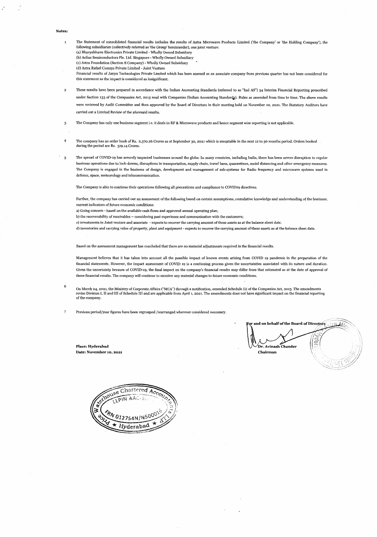**Notes:** 

- I The Statement of consolidated financial results includes the results of Astra Microwave Products Limited ('the Company' or 'the Holding Company'), the following subsidiaries (collectively referred as 'the Group' hereinunder), one joint venture: (a) Bhavyabhanu Electronics Private Limited - Wholly Owned Subsidiary
	- (b) Aelius Semiconductors Ple. Ltd. Singapore Wholly Owned Subsidiary
	- (c) Astrs Foundation (Section 8 Company) Wholly Owned Subsidiary
	- (d) Astra Rafael Comsys Private Limited Joint Venture
	- Financial results of Janyu Technologies Private Limited which has been assesed as an associate company from previous quarter has not been considered for this statement as the impact is considered as insignificant.
- 2 These results have been prepared in accordance with the Indian Accounting Standards (referred to as "Ind AS") 34 Interim Financial Reporting prescribed under Section 133 of the Companies Act, 2013 read with Companies (Indian Accounting Standards). Rules as amended from time to time. The above results were reviewed by Audit Committee and then approved by the Board of Directors in their meeting held on November 10, 2021, The Statutory Auditors have carried out a Limited Review of the aforesaid results,
- 3 The Company has only one business segment i.e. it deals in RF & Microwave products and hence segment wise reporting is not applicable.
- 4 The company has an order book of Rs. 2,370,26 Crores as at September 30, 2021 which is executable in the next 12 to 30 months period. Orders booked during the period are Rs. 519.14 Crores.
- 5 The spread of COVID-19 has severely impacted businesses around the globe. In many countries, including India, there has been severe disruption to regular business operations due to lock-downs, disruptions in transportation, supply chain, travel bans, quarantines, social distancing and other emergency measures. The Company is engaged in the business of design, development and management of sub-systems for Radio frequency and microwave systems used in defence, space, meteorology and telecommunication,

The Company is able to continue their operations following all precautions and compliance to COVID19 directives.

Further, the company has carried out an assessment of the following based on certain assumptions, cumulative knowledge and understanding of the business, current indicators of future economic conditions:

- a) Going concern based on the available cash flows and approved annual operating plan;
- b) the recoverability of receivables considering past experience and communication with the customers;
- c) investments in Joint venture and associate expects to recover the carrying amount of these assets as at the balance sheet date.
- d) inventories and carrying value of property, plant and equipment expects to recover the carrying amount of'these assets as at the balance sheet date.

Based on the assessment management has concluded that there are no material adjustments required in the financial results.

Management believes that it has taken into account all the possible impact of known events arising from COVID 19 pandemic in the preparation of the financial statements. However, the impact assessment of COVID 19 is a continuing process given the uncertainties associated with its nature and duration. Given the uncertainty because of COVID-19, the final impact on the company's financial results may differ from that estimated as at the date of approval of these financial results. The company will continue to monitor any material changes to future economic conditions.

On March 24, 2021, the Ministry of Corporate Affairs ("MCA") through a notification, amended Schedule III of the Companies Act, 2013. The amendments revise Division I, II and III of Schedule III and are applicable from April 1, 2021. The amendments does not have significant impact on the financial reporting of the company.

7 Previous period/year figures have been regrouped /rearranged wherever considered necessary.

**\ or and on behalf of the Board of Directors**  ğ **Place: Hyderabad sinus in the sinus in the sinus in the sinus in the sinus in the sinus in the sinus in the sinus in the sinus in the sinus in the sinus in the sinus in the sinus in the sinus in the sinus in the sinus in** 

 $\mathbb{Z}$ 

**Date: November 10, 2021 Chairman** 

6

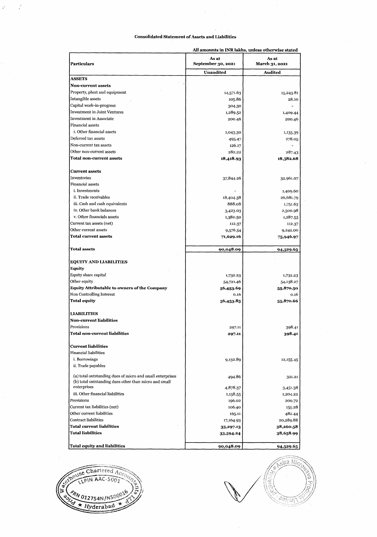## **Consolidated Statement of Assets and Liabilities**

| <b>Particulars</b>                                        | As at<br>September 30, 2021 | As at<br>March 31, 2021 |
|-----------------------------------------------------------|-----------------------------|-------------------------|
|                                                           | <b>Unaudited</b>            | <b>Audited</b>          |
| ASSETS                                                    |                             |                         |
| <b>Non-current assets</b>                                 |                             |                         |
| Property, plant and equipment                             | 14,571.63                   | 15,243.81               |
| Intangible assets                                         | 105.86                      | 28.10                   |
| Capital work-in-progress                                  | 304.30                      |                         |
| <b>Investment in Joint Ventures</b>                       | 1,289.52                    | 1,409.44                |
| <b>Investment in Associate</b>                            | 200.46                      | 200.46                  |
| Financial assets                                          |                             |                         |
| i. Other financial assets                                 | 1,043.30                    | 1,135.39                |
| Deferred tax assets                                       | 495.47                      | 278.05                  |
| Non-current tax assets                                    | 126.17                      |                         |
| Other non-current assets                                  | 282.22                      | 287.43                  |
| Total non-current assets                                  | 18,418.93                   | 18,582.68               |
| <b>Current assets</b>                                     |                             |                         |
| Inventories                                               | 37,844.26                   | 32,961.07               |
| Financial assets                                          |                             |                         |
| i. Investments                                            |                             | 1,409.60                |
| ii. Trade receivables                                     | 18,404.38                   | 26,681.79               |
| iii. Cash and cash equivalents                            | 888.08                      | 1,751.63                |
| iv. Other bank balances                                   | 3,423.03                    | 2,500.98                |
| v. Other financials assets                                | 1,380.50                    | 1,287.53                |
| Current tax assets (net)                                  | 112.37                      | 112.37                  |
| Other current assets                                      | 9,576 54                    | 9,242.00                |
| <b>Total current assets</b>                               | 71,629.16                   | 75,946.97               |
| <b>Total assets</b>                                       | 90,048.09                   | 94,529.65               |
| <b>EQUITY AND LIABILITIES</b>                             |                             |                         |
| Equity                                                    |                             |                         |
| Equity share capital                                      | 1,732.23                    | 1,732.23                |
| Other equity                                              | 54,721.46                   | 54,138.27               |
| <b>Equity Attributable to owners of the Company</b>       | 56,453.69                   | 55,870.50               |
| <b>Non Controlling Interest</b>                           | 0.16                        | 0.16                    |
| <b>Total equity</b>                                       | 56,453.85                   | 55,870.66               |
|                                                           |                             |                         |
| <b>LIABILITIES</b>                                        |                             |                         |
| <b>Non-current liabilities</b>                            |                             |                         |
| Provisions                                                | 297.11                      | 398.41                  |
| Total non-current liabilities                             | 297.11                      | 398.41                  |
| <b>Current liabilities</b>                                |                             |                         |
| Financial liabilities                                     |                             |                         |
| i. Borrowings                                             | 9,132.89                    | 12,155.45               |
| ii. Trade payables                                        |                             |                         |
| (a) total outstanding dues of micro and small enterprises | 494.86                      | 321.21                  |
| (b) total outstanding dues other than micro and small     |                             |                         |
| enterprises                                               | 4,878.37                    | 3,451.38                |
| iii. Other financial liabilities                          | 1,158.55                    | 1,204.22                |
| Provisions                                                | 196.02                      | 200.72                  |
| Current tax liabilities (net)                             | 106.40                      | 155.28                  |
| Other current liabilities                                 | 165.11                      | 482.44                  |
| <b>Contract liabilities</b>                               | 17,164.93                   | 20,289.88               |
| <b>Total current liabilities</b>                          | 33,297.13                   | 38,260.58               |
| <b>Total liabilities</b>                                  | 33,594.24                   | 38,658.99               |
| <b>Total equity and liabilities</b>                       | 90,048.09                   | 94,529.65               |

**All amounts in INR lalths, unless otherwise stated** 



 $\widehat{\mathcal{M}}$ a Mi ///  $\ell$ อั $\widetilde{\eta}$ นทุ่